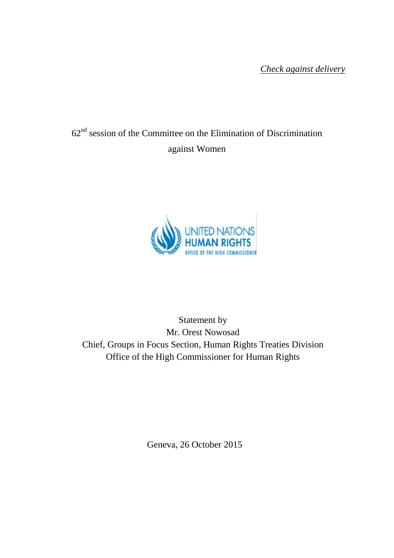*Check against delivery*

# $62<sup>nd</sup>$  session of the Committee on the Elimination of Discrimination against Women



Statement by Mr. Orest Nowosad Chief, Groups in Focus Section, Human Rights Treaties Division Office of the High Commissioner for Human Rights

Geneva, 26 October 2015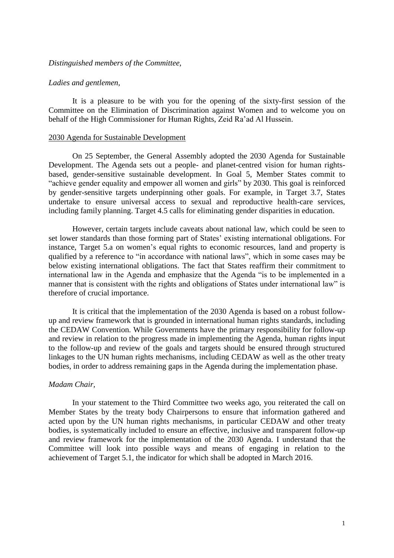#### *Distinguished members of the Committee,*

## *Ladies and gentlemen,*

It is a pleasure to be with you for the opening of the sixty-first session of the Committee on the Elimination of Discrimination against Women and to welcome you on behalf of the High Commissioner for Human Rights, Zeid Ra'ad Al Hussein.

#### 2030 Agenda for Sustainable Development

On 25 September, the General Assembly adopted the 2030 Agenda for Sustainable Development. The Agenda sets out a people- and planet-centred vision for human rightsbased, gender-sensitive sustainable development. In Goal 5, Member States commit to "achieve gender equality and empower all women and girls" by 2030. This goal is reinforced by gender-sensitive targets underpinning other goals. For example, in Target 3.7, States undertake to ensure universal access to sexual and reproductive health-care services, including family planning. Target 4.5 calls for eliminating gender disparities in education.

However, certain targets include caveats about national law, which could be seen to set lower standards than those forming part of States' existing international obligations. For instance, Target 5.a on women's equal rights to economic resources, land and property is qualified by a reference to "in accordance with national laws", which in some cases may be below existing international obligations. The fact that States reaffirm their commitment to international law in the Agenda and emphasize that the Agenda "is to be implemented in a manner that is consistent with the rights and obligations of States under international law" is therefore of crucial importance.

It is critical that the implementation of the 2030 Agenda is based on a robust followup and review framework that is grounded in international human rights standards, including the CEDAW Convention. While Governments have the primary responsibility for follow-up and review in relation to the progress made in implementing the Agenda, human rights input to the follow-up and review of the goals and targets should be ensured through structured linkages to the UN human rights mechanisms, including CEDAW as well as the other treaty bodies, in order to address remaining gaps in the Agenda during the implementation phase.

#### *Madam Chair,*

In your statement to the Third Committee two weeks ago, you reiterated the call on Member States by the treaty body Chairpersons to ensure that information gathered and acted upon by the UN human rights mechanisms, in particular CEDAW and other treaty bodies, is systematically included to ensure an effective, inclusive and transparent follow-up and review framework for the implementation of the 2030 Agenda. I understand that the Committee will look into possible ways and means of engaging in relation to the achievement of Target 5.1, the indicator for which shall be adopted in March 2016.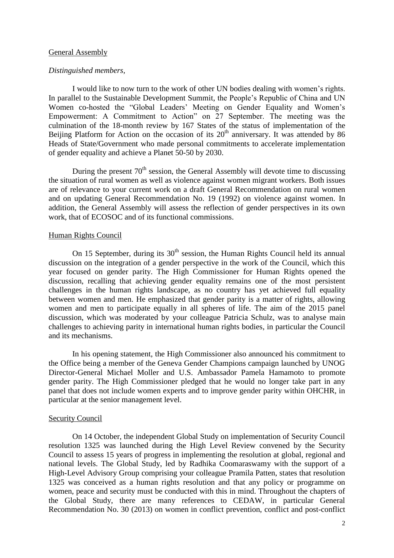# General Assembly

#### *Distinguished members,*

I would like to now turn to the work of other UN bodies dealing with women's rights. In parallel to the Sustainable Development Summit, the People's Republic of China and UN Women co-hosted the "Global Leaders' Meeting on Gender Equality and Women's Empowerment: A Commitment to Action" on 27 September. The meeting was the culmination of the 18-month review by 167 States of the status of implementation of the Beijing Platform for Action on the occasion of its  $20<sup>th</sup>$  anniversary. It was attended by 86 Heads of State/Government who made personal commitments to accelerate implementation of gender equality and achieve a Planet 50-50 by 2030.

During the present 70<sup>th</sup> session, the General Assembly will devote time to discussing the situation of rural women as well as violence against women migrant workers. Both issues are of relevance to your current work on a draft General Recommendation on rural women and on updating General Recommendation No. 19 (1992) on violence against women. In addition, the General Assembly will assess the reflection of gender perspectives in its own work, that of ECOSOC and of its functional commissions.

# Human Rights Council

On 15 September, during its  $30<sup>th</sup>$  session, the Human Rights Council held its annual discussion on the integration of a gender perspective in the work of the Council, which this year focused on gender parity. The High Commissioner for Human Rights opened the discussion, recalling that achieving gender equality remains one of the most persistent challenges in the human rights landscape, as no country has yet achieved full equality between women and men. He emphasized that gender parity is a matter of rights, allowing women and men to participate equally in all spheres of life. The aim of the 2015 panel discussion, which was moderated by your colleague Patricia Schulz, was to analyse main challenges to achieving parity in international human rights bodies, in particular the Council and its mechanisms.

In his opening statement, the High Commissioner also announced his commitment to the Office being a member of the Geneva Gender Champions campaign launched by UNOG Director-General Michael Moller and U.S. Ambassador Pamela Hamamoto to promote gender parity. The High Commissioner pledged that he would no longer take part in any panel that does not include women experts and to improve gender parity within OHCHR, in particular at the senior management level.

#### Security Council

On 14 October, the independent Global Study on implementation of Security Council resolution 1325 was launched during the High Level Review convened by the Security Council to assess 15 years of progress in implementing the resolution at global, regional and national levels. The Global Study, led by Radhika Coomaraswamy with the support of a High-Level Advisory Group comprising your colleague Pramila Patten, states that resolution 1325 was conceived as a human rights resolution and that any policy or programme on women, peace and security must be conducted with this in mind. Throughout the chapters of the Global Study, there are many references to CEDAW, in particular General Recommendation No. 30 (2013) on women in conflict prevention, conflict and post-conflict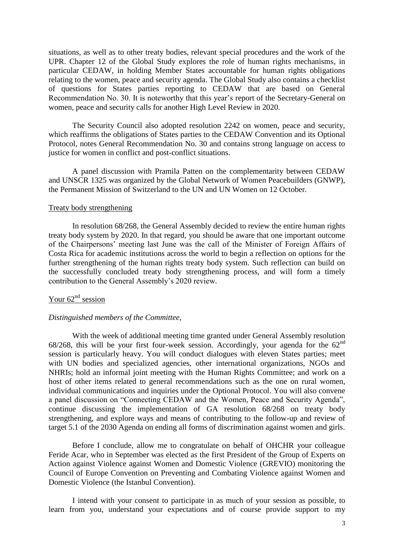situations, as well as to other treaty bodies, relevant special procedures and the work of the UPR. Chapter 12 of the Global Study explores the role of human rights mechanisms, in particular CEDAW, in holding Member States accountable for human rights obligations relating to the women, peace and security agenda. The Global Study also contains a checklist of questions for States parties reporting to CEDAW that are based on General Recommendation No. 30. It is noteworthy that this year's report of the Secretary-General on women, peace and security calls for another High Level Review in 2020.

The Security Council also adopted resolution 2242 on women, peace and security, which reaffirms the obligations of States parties to the CEDAW Convention and its Optional Protocol, notes General Recommendation No. 30 and contains strong language on access to justice for women in conflict and post-conflict situations.

A panel discussion with Pramila Patten on the complementarity between CEDAW and UNSCR 1325 was organized by the Global Network of Women Peacebuilders (GNWP), the Permanent Mission of Switzerland to the UN and UN Women on 12 October.

# Treaty body strengthening

In resolution 68/268, the General Assembly decided to review the entire human rights treaty body system by 2020. In that regard, you should be aware that one important outcome of the Chairpersons' meeting last June was the call of the Minister of Foreign Affairs of Costa Rica for academic institutions across the world to begin a reflection on options for the further strengthening of the human rights treaty body system. Such reflection can build on the successfully concluded treaty body strengthening process, and will form a timely contribution to the General Assembly's 2020 review.

# Your  $62<sup>nd</sup>$  session

# *Distinguished members of the Committee,*

With the week of additional meeting time granted under General Assembly resolution 68/268, this will be your first four-week session. Accordingly, your agenda for the  $62<sup>nd</sup>$ session is particularly heavy. You will conduct dialogues with eleven States parties; meet with UN bodies and specialized agencies, other international organizations, NGOs and NHRIs; hold an informal joint meeting with the Human Rights Committee; and work on a host of other items related to general recommendations such as the one on rural women, individual communications and inquiries under the Optional Protocol. You will also convene a panel discussion on "Connecting CEDAW and the Women, Peace and Security Agenda", continue discussing the implementation of GA resolution 68/268 on treaty body strengthening, and explore ways and means of contributing to the follow-up and review of target 5.1 of the 2030 Agenda on ending all forms of discrimination against women and girls.

Before I conclude, allow me to congratulate on behalf of OHCHR your colleague Feride Acar, who in September was elected as the first President of the Group of Experts on Action against Violence against Women and Domestic Violence (GREVIO) monitoring the Council of Europe Convention on Preventing and Combating Violence against Women and Domestic Violence (the Istanbul Convention).

I intend with your consent to participate in as much of your session as possible, to learn from you, understand your expectations and of course provide support to my